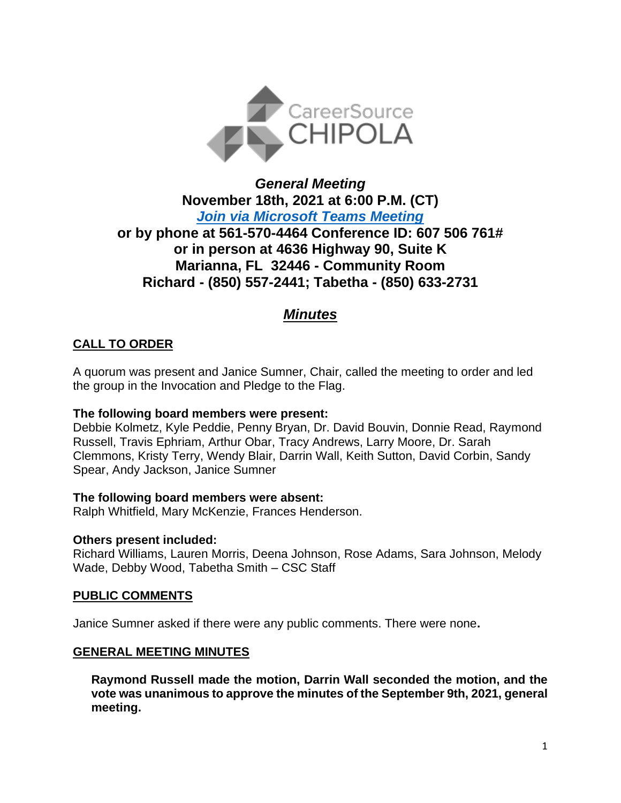

# *General Meeting* **November 18th, 2021 at 6:00 P.M. (CT)** *[Join via Microsoft Teams Meeting](https://teams.microsoft.com/l/meetup-join/19%3ameeting_NzQ1ZjBjYmUtMWNlMC00OTc1LTllMzktMDYwN2JmY2ZhMDQz%40thread.v2/0?context=%7b%22Tid%22%3a%22381e462d-382b-4f05-b17c-e11350250b4b%22%2c%22Oid%22%3a%22ece6f519-14be-447e-9926-70a0c0b015a7%22%7d)*  **or by phone at 561-570-4464 Conference ID: 607 506 761# or in person at 4636 Highway 90, Suite K Marianna, FL 32446 - Community Room Richard - (850) 557-2441; Tabetha - (850) 633-2731**

# *Minutes*

# **CALL TO ORDER**

A quorum was present and Janice Sumner, Chair, called the meeting to order and led the group in the Invocation and Pledge to the Flag.

### **The following board members were present:**

Debbie Kolmetz, Kyle Peddie, Penny Bryan, Dr. David Bouvin, Donnie Read, Raymond Russell, Travis Ephriam, Arthur Obar, Tracy Andrews, Larry Moore, Dr. Sarah Clemmons, Kristy Terry, Wendy Blair, Darrin Wall, Keith Sutton, David Corbin, Sandy Spear, Andy Jackson, Janice Sumner

### **The following board members were absent:**

Ralph Whitfield, Mary McKenzie, Frances Henderson.

### **Others present included:**

Richard Williams, Lauren Morris, Deena Johnson, Rose Adams, Sara Johnson, Melody Wade, Debby Wood, Tabetha Smith – CSC Staff

### **PUBLIC COMMENTS**

Janice Sumner asked if there were any public comments. There were none**.**

### **GENERAL MEETING MINUTES**

**Raymond Russell made the motion, Darrin Wall seconded the motion, and the vote was unanimous to approve the minutes of the September 9th, 2021, general meeting.**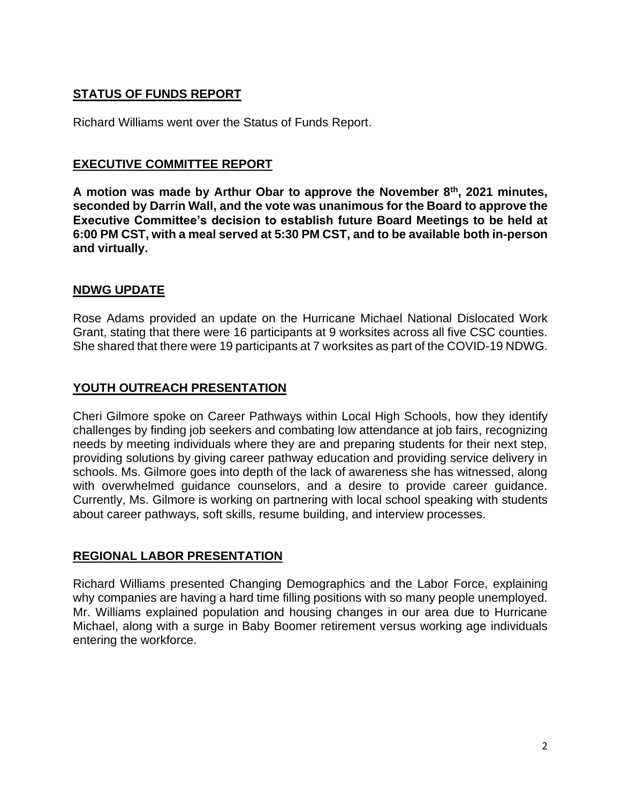# **STATUS OF FUNDS REPORT**

Richard Williams went over the Status of Funds Report.

## **EXECUTIVE COMMITTEE REPORT**

**A motion was made by Arthur Obar to approve the November 8th, 2021 minutes, seconded by Darrin Wall, and the vote was unanimous for the Board to approve the Executive Committee's decision to establish future Board Meetings to be held at 6:00 PM CST, with a meal served at 5:30 PM CST, and to be available both in-person and virtually.**

### **NDWG UPDATE**

Rose Adams provided an update on the Hurricane Michael National Dislocated Work Grant, stating that there were 16 participants at 9 worksites across all five CSC counties. She shared that there were 19 participants at 7 worksites as part of the COVID-19 NDWG.

# **YOUTH OUTREACH PRESENTATION**

Cheri Gilmore spoke on Career Pathways within Local High Schools, how they identify challenges by finding job seekers and combating low attendance at job fairs, recognizing needs by meeting individuals where they are and preparing students for their next step, providing solutions by giving career pathway education and providing service delivery in schools. Ms. Gilmore goes into depth of the lack of awareness she has witnessed, along with overwhelmed guidance counselors, and a desire to provide career guidance. Currently, Ms. Gilmore is working on partnering with local school speaking with students about career pathways, soft skills, resume building, and interview processes.

# **REGIONAL LABOR PRESENTATION**

Richard Williams presented Changing Demographics and the Labor Force, explaining why companies are having a hard time filling positions with so many people unemployed. Mr. Williams explained population and housing changes in our area due to Hurricane Michael, along with a surge in Baby Boomer retirement versus working age individuals entering the workforce.